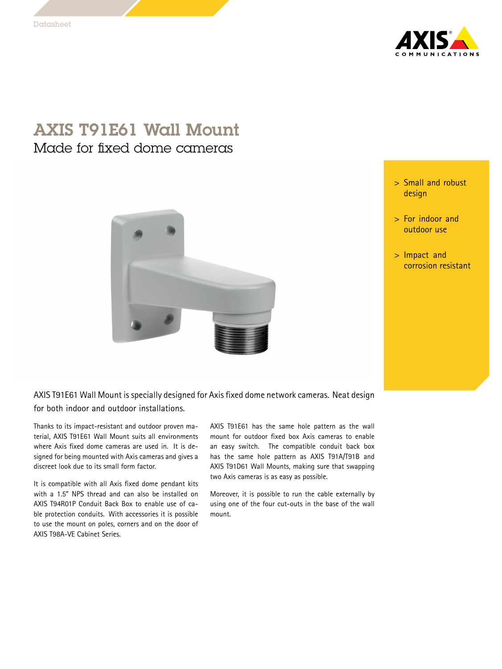

## AXIS T91E61 Wall Mount Made for fixed dome cameras

- <sup>&</sup>gt; Small and robust design
- <sup>&</sup>gt; For indoor and outdoor use
- <sup>&</sup>gt; Impact and corrosion resistant

AXIS T91E61 Wall Mount is specially designed for Axis fixed dome network cameras. Neat design for both indoor and outdoor installations.

Thanks to its impact-resistant and outdoor proven material, AXIS T91E61 Wall Mount suits all environments where Axis fixed dome cameras are used in. It is designed for being mounted with Axis cameras and gives <sup>a</sup> discreet look due to its small form factor.

It is compatible with all Axis fixed dome pendant kits with <sup>a</sup> 1.5" NPS thread and can also be installed on AXIS T94R01P Conduit Back Box to enable use of cable protection conduits. With accessories it is possible to use the mount on poles, corners and on the door of AXIS T98A-VE Cabinet Series.

AXIS T91E61 has the same hole pattern as the wall mount for outdoor fixed box Axis cameras to enable an easy switch. The compatible conduit back box has the same hole pattern as AXIS T91A/T91B and AXIS T91D61 Wall Mounts, making sure that swapping two Axis cameras is as easy as possible.

Moreover, it is possible to run the cable externally by using one of the four cut-outs in the base of the wall mount.